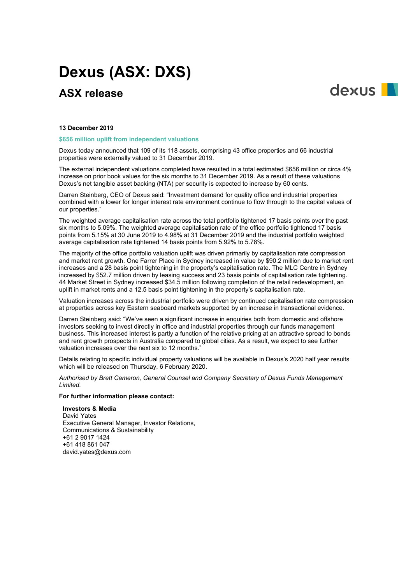# **Dexus (ASX: DXS)**

# **ASX release**



#### **13 December 2019**

#### **\$656 million uplift from independent valuations**

Dexus today announced that 109 of its 118 assets, comprising 43 office properties and 66 industrial properties were externally valued to 31 December 2019.

The external independent valuations completed have resulted in a total estimated \$656 million or circa 4% increase on prior book values for the six months to 31 December 2019. As a result of these valuations Dexus's net tangible asset backing (NTA) per security is expected to increase by 60 cents.

Darren Steinberg, CEO of Dexus said: "Investment demand for quality office and industrial properties combined with a lower for longer interest rate environment continue to flow through to the capital values of our properties."

The weighted average capitalisation rate across the total portfolio tightened 17 basis points over the past six months to 5.09%. The weighted average capitalisation rate of the office portfolio tightened 17 basis points from 5.15% at 30 June 2019 to 4.98% at 31 December 2019 and the industrial portfolio weighted average capitalisation rate tightened 14 basis points from 5.92% to 5.78%.

The majority of the office portfolio valuation uplift was driven primarily by capitalisation rate compression and market rent growth. One Farrer Place in Sydney increased in value by \$90.2 million due to market rent increases and a 28 basis point tightening in the property's capitalisation rate. The MLC Centre in Sydney increased by \$52.7 million driven by leasing success and 23 basis points of capitalisation rate tightening. 44 Market Street in Sydney increased \$34.5 million following completion of the retail redevelopment, an uplift in market rents and a 12.5 basis point tightening in the property's capitalisation rate.

Valuation increases across the industrial portfolio were driven by continued capitalisation rate compression at properties across key Eastern seaboard markets supported by an increase in transactional evidence.

Darren Steinberg said: "We've seen a significant increase in enquiries both from domestic and offshore investors seeking to invest directly in office and industrial properties through our funds management business. This increased interest is partly a function of the relative pricing at an attractive spread to bonds and rent growth prospects in Australia compared to global cities. As a result, we expect to see further valuation increases over the next six to 12 months."

Details relating to specific individual property valuations will be available in Dexus's 2020 half year results which will be released on Thursday, 6 February 2020.

*Authorised by Brett Cameron, General Counsel and Company Secretary of Dexus Funds Management Limited.*

### **For further information please contact:**

**Investors & Media** David Yates Executive General Manager, Investor Relations, Communications & Sustainability +61 2 9017 1424 +61 418 861 047 david.yates@dexus.com